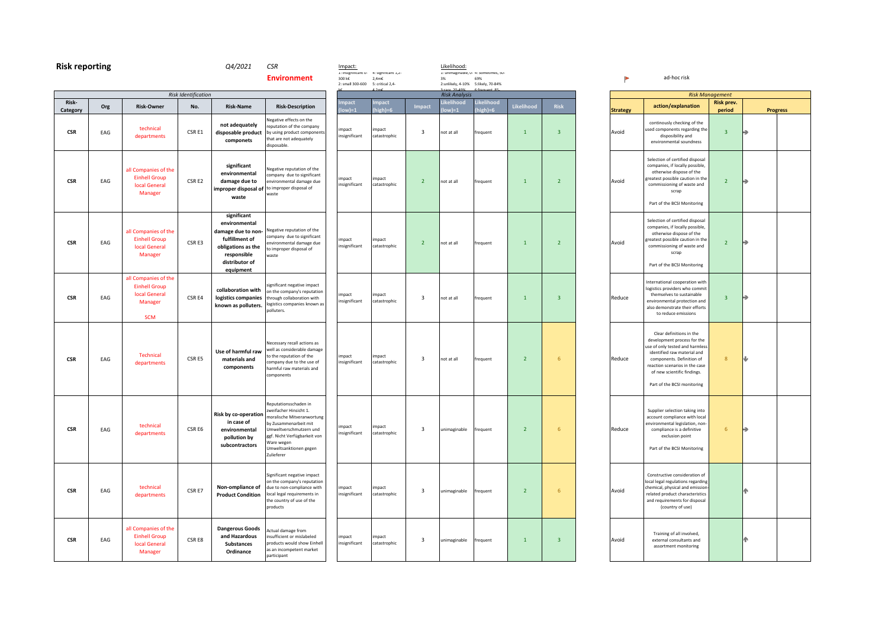| <b>Risk reporting</b> |     |                                                                                               |                            | Q4/2021                                                                                                                                  | <b>CSR</b><br><b>Environment</b>                                                                                                                                                                                       | Impact:<br>1: insignificant u-<br>300 k€ | 4: significant 1,2-<br>$2,4m\epsilon$ |                         | Likelihood:<br>3%                  | 1: unimaginable, u- 4: sometimes, su-<br>69% |                |                         |                 | ad-hoc risk                                                                                                                                                                                |
|-----------------------|-----|-----------------------------------------------------------------------------------------------|----------------------------|------------------------------------------------------------------------------------------------------------------------------------------|------------------------------------------------------------------------------------------------------------------------------------------------------------------------------------------------------------------------|------------------------------------------|---------------------------------------|-------------------------|------------------------------------|----------------------------------------------|----------------|-------------------------|-----------------|--------------------------------------------------------------------------------------------------------------------------------------------------------------------------------------------|
|                       |     |                                                                                               |                            |                                                                                                                                          |                                                                                                                                                                                                                        | 2: small 300-600                         | 5: critical 2,4-                      |                         |                                    | 2:unlikely, 4-10% 5:likely, 70-84%           |                |                         |                 |                                                                                                                                                                                            |
| Risk-                 |     |                                                                                               | <b>Risk Identification</b> |                                                                                                                                          |                                                                                                                                                                                                                        | npact                                    | mpact                                 |                         | <b>Risk Analysis</b><br>Likelihood | Likelihood                                   | Likelihood     | <b>Risk</b>             |                 |                                                                                                                                                                                            |
| Category              | Org | <b>Risk-Owner</b>                                                                             | No.                        | <b>Risk-Name</b>                                                                                                                         | <b>Risk-Description</b>                                                                                                                                                                                                | ow)=1                                    | high)=6                               | <b>Impact</b>           | $ low =1$                          | high)=6                                      |                |                         | <b>Strategy</b> | action/explana                                                                                                                                                                             |
| $_{\rm CSR}$          | EAG | technical<br>departments                                                                      | CSR E1                     | not adequately<br>disposable product<br>componets                                                                                        | legative effects on the<br>eputation of the company<br>by using product components<br>that are not adequately<br>disposable.                                                                                           | impact<br>insignificant                  | impact<br>catastrophic                | $\overline{\mathbf{3}}$ | not at all                         | frequent                                     | $\mathbf{1}$   | $\overline{\mathbf{3}}$ | Avoid           | continously checking<br>used components rega<br>disposibility ar<br>environmental sour                                                                                                     |
| <b>CSR</b>            | EAG | all Companies of the<br><b>Einhell Group</b><br><b>local General</b><br>Manager               | CSR E2                     | significant<br>environmental<br>damage due to<br>improper disposal of<br>waste                                                           | legative reputation of the<br>company due to significant<br>environmental damage due<br>to improper disposal of<br>waste                                                                                               | impact<br>insignificant                  | impact<br>catastrophic                | $\overline{2}$          | not at all                         | frequent                                     | $\mathbf{1}$   | 2 <sup>2</sup>          | Avoid           | Selection of certified<br>companies, if locally<br>otherwise dispose<br>greatest possible caut<br>commissioning of wa<br>scrap<br>Part of the BCSI Mor                                     |
| <b>CSR</b>            | EAG | all Companies of the<br><b>Einhell Group</b><br><b>local General</b><br>Manager               | CSR E3                     | significant<br>environmental<br>damage due to non-<br>fulfillment of<br>obligations as the<br>responsible<br>distributor of<br>equipment | legative reputation of the<br>ompany due to significant<br>nvironmental damage due<br>to improper disposal of<br>waste                                                                                                 | impact<br>insignificant                  | impact<br>catastrophic                | $\overline{2}$          | not at all                         | frequent                                     | $\mathbf{1}$   | $\overline{2}$          | Avoid           | Selection of certified<br>companies, if locally<br>otherwise dispose<br>greatest possible caut<br>commissioning of wa<br>scrap<br>Part of the BCSI Mor                                     |
| <b>CSR</b>            | EAG | all Companies of the<br><b>Einhell Group</b><br><b>local General</b><br>Manager<br><b>SCM</b> | CSR E4                     | collaboration with<br>logistics companies<br>known as polluters.                                                                         | significant negative impact<br>on the company's reputation<br>through collaboration with<br>ogistics companies known as<br>polluters.                                                                                  | impact<br>insignificant                  | impact<br>catastrophic                | 3                       | not at all                         | frequent                                     | $\mathbf{1}$   | $\overline{3}$          | Reduce          | International coopera<br>logistics providers wh<br>themselves to susta<br>environmental proted<br>also demonstrate the<br>to reduce emissi                                                 |
| <b>CSR</b>            | EAG | Technical<br>departments                                                                      | CSR E5                     | Use of harmful raw<br>materials and<br>components                                                                                        | Necessary recall actions as<br>vell as considerable damage<br>to the reputation of the<br>ompany due to the use of<br>harmful raw materials and<br>components                                                          | impact<br>insignificant                  | impact<br>catastrophic                | $\overline{\mathbf{3}}$ | not at all                         | frequent                                     | $\overline{2}$ | $6\phantom{1}6$         | Reduce          | Clear definitions i<br>development proces<br>use of only tested and<br>identified raw mate<br>components. Defini<br>reaction scenarios in<br>of new scientific fir<br>Part of the BCSI mor |
| <b>CSR</b>            | EAG | technical<br>departments                                                                      | CSR E6                     | Risk by co-operation<br>in case of<br>environmental<br>pollution by<br>subcontractors                                                    | Reputationsschaden in<br>weifacher Hinsicht 1.<br>moralische Mitveranwortung<br>by Zusammenarbeit mit<br>Jmweltverschmutzern und<br>ggf. Nicht Verfügbarkeit von<br>Vare wegen<br>Umweltsanktionen gegen<br>Zulieferer | impact<br>insignificant                  | impact<br>catastrophic                | 3                       | unimaginable                       | frequent                                     | $\overline{2}$ | $6\phantom{1}6$         | Reduce          | Supplier selection tal<br>account compliance v<br>environmental legislat<br>compliance is a def<br>exclusion poir<br>Part of the BCSI Mor                                                  |
| <b>CSR</b>            | EAG | technical<br>departments                                                                      | CSR E7                     | Non-ompliance of<br><b>Product Condition</b>                                                                                             | Significant negative impact<br>on the company's reputation<br>due to non-compliance with<br>local legal requirements in<br>the country of use of the<br>products                                                       | impact<br>insignificant                  | impact<br>catastrophic                | 3                       | unimaginable                       | frequent                                     | $\overline{2}$ | $6\phantom{1}6$         | Avoid           | Constructive conside<br>local legal regulations<br>chemical, physical and<br>related product chara<br>and requirements for<br>(country of use                                              |
| <b>CSR</b>            | EAG | all Companies of the<br><b>Einhell Group</b><br><b>local General</b><br>Manager               | CSR E8                     | <b>Dangerous Goods</b><br>and Hazardous<br><b>Substances</b><br>Ordinance                                                                | Actual damage from<br>insufficient or mislabeled<br>products would show Einhell<br>as an incompetent market<br>participant                                                                                             | impact<br>insignificant                  | impact<br>catastrophic                | 3                       | unimaginable                       | frequent                                     | $\mathbf{1}$   | $\overline{3}$          | Avoid           | Training of all invo<br>external consultan<br>assortment monit                                                                                                                             |

| <b>Risk Management</b> |                                                                                                                                                                                                                                                        |                      |                 |  |  |  |  |  |  |
|------------------------|--------------------------------------------------------------------------------------------------------------------------------------------------------------------------------------------------------------------------------------------------------|----------------------|-----------------|--|--|--|--|--|--|
| <b>Strategy</b>        | action/explanation                                                                                                                                                                                                                                     | Risk prev.<br>period | <b>Progress</b> |  |  |  |  |  |  |
| Avoid                  | continously checking of the<br>used components regarding the<br>disposibility and<br>environmental soundness                                                                                                                                           | 3                    |                 |  |  |  |  |  |  |
| Avoid                  | Selection of certified disposal<br>companies, if locally possible,<br>otherwise dispose of the<br>greatest possible caution in the<br>commissioning of waste and<br>scrap<br>Part of the BCSI Monitoring                                               | $\overline{2}$       |                 |  |  |  |  |  |  |
| Avoid                  | Selection of certified disposal<br>companies, if locally possible,<br>otherwise dispose of the<br>greatest possible caution in the<br>commissioning of waste and<br>scrap<br>Part of the BCSI Monitoring                                               | $\overline{2}$       |                 |  |  |  |  |  |  |
| Reduce                 | International cooperation with<br>logistics providers who commit<br>themselves to sustainable<br>environmental protection and<br>also demonstrate their efforts<br>to reduce emissions                                                                 | 3                    |                 |  |  |  |  |  |  |
| Reduce                 | Clear definitions in the<br>development process for the<br>use of only tested and harmless<br>identified raw material and<br>components. Definition of<br>reaction scenarios in the case<br>of new scientific findings.<br>Part of the BCSI monitoring | 8                    |                 |  |  |  |  |  |  |
| Reduce                 | Supplier selection taking into<br>account compliance with local<br>environmental legislation, non-<br>compliance is a definitive<br>exclusion point<br>Part of the BCSI Monitoring                                                                     | 6                    |                 |  |  |  |  |  |  |
| Avoid                  | Constructive consideration of<br>local legal regulations regarding<br>chemical, physical and emission-<br>related product characteristics<br>and requirements for disposal<br>(country of use)                                                         |                      |                 |  |  |  |  |  |  |
| Avoid                  | Training of all involved,<br>external consultants and<br>assortment monitoring                                                                                                                                                                         |                      |                 |  |  |  |  |  |  |